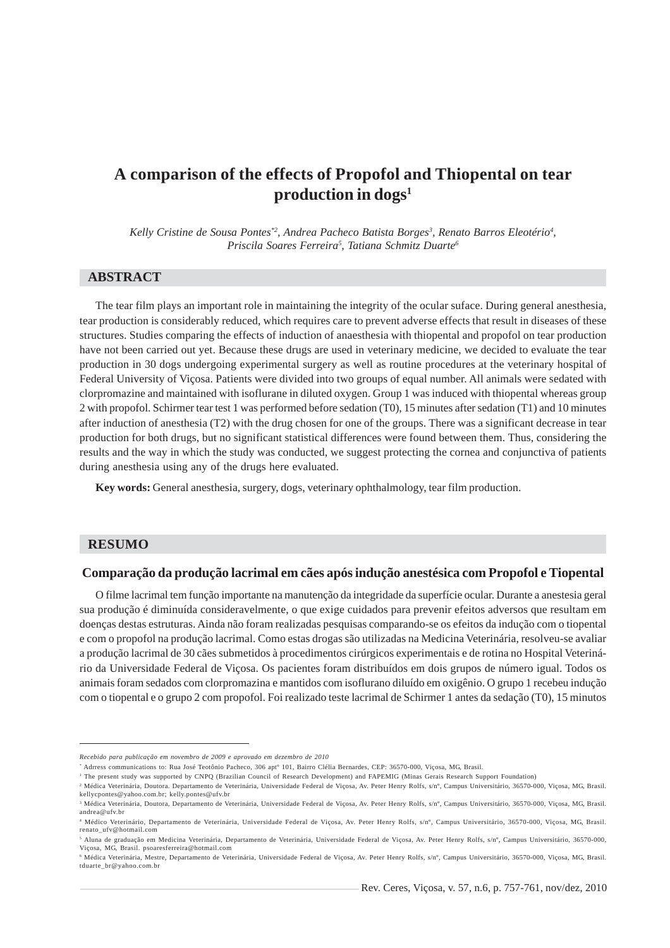# **A comparison of the effects of Propofol and Thiopental on tear production in dogs1**

*Kelly Cristine de Sousa Pontes\*2, Andrea Pacheco Batista Borges3 , Renato Barros Eleotério4 , Priscila Soares Ferreira5 , Tatiana Schmitz Duarte6*

# **ABSTRACT**

The tear film plays an important role in maintaining the integrity of the ocular suface. During general anesthesia, tear production is considerably reduced, which requires care to prevent adverse effects that result in diseases of these structures. Studies comparing the effects of induction of anaesthesia with thiopental and propofol on tear production have not been carried out yet. Because these drugs are used in veterinary medicine, we decided to evaluate the tear production in 30 dogs undergoing experimental surgery as well as routine procedures at the veterinary hospital of Federal University of Viçosa. Patients were divided into two groups of equal number. All animals were sedated with clorpromazine and maintained with isoflurane in diluted oxygen. Group 1 was induced with thiopental whereas group 2 with propofol. Schirmer tear test 1 was performed before sedation (T0), 15 minutes after sedation (T1) and 10 minutes after induction of anesthesia (T2) with the drug chosen for one of the groups. There was a significant decrease in tear production for both drugs, but no significant statistical differences were found between them. Thus, considering the results and the way in which the study was conducted, we suggest protecting the cornea and conjunctiva of patients during anesthesia using any of the drugs here evaluated.

**Key words:** General anesthesia, surgery, dogs, veterinary ophthalmology, tear film production.

#### **RESUMO**

## **Comparação da produção lacrimal em cães após indução anestésica com Propofol e Tiopental**

O filme lacrimal tem função importante na manutenção da integridade da superfície ocular. Durante a anestesia geral sua produção é diminuída consideravelmente, o que exige cuidados para prevenir efeitos adversos que resultam em doenças destas estruturas. Ainda não foram realizadas pesquisas comparando-se os efeitos da indução com o tiopental e com o propofol na produção lacrimal. Como estas drogas são utilizadas na Medicina Veterinária, resolveu-se avaliar a produção lacrimal de 30 cães submetidos à procedimentos cirúrgicos experimentais e de rotina no Hospital Veterinário da Universidade Federal de Viçosa. Os pacientes foram distribuídos em dois grupos de número igual. Todos os animais foram sedados com clorpromazina e mantidos com isoflurano diluído em oxigênio. O grupo 1 recebeu indução com o tiopental e o grupo 2 com propofol. Foi realizado teste lacrimal de Schirmer 1 antes da sedação (T0), 15 minutos

2 Médica Veterinária, Doutora. Departamento de Veterinária, Universidade Federal de Viçosa, Av. Peter Henry Rolfs, s/nº, Campus Universitário, 36570-000, Viçosa, MG, Brasil.

*Recebido para publicação em novembro de 2009 e aprovado em dezembro de 2010*

<sup>\*</sup> Adrress communications to: Rua José Teotônio Pacheco, 306 aptº 101, Bairro Clélia Bernardes, CEP: 36570-000, Viçosa, MG, Brasil.

<sup>&</sup>lt;sup>1</sup> The present study was supported by CNPQ (Brazilian Council of Research Development) and FAPEMIG (Minas Gerais Research Support Foundation)

kellycpontes@yahoo.com.br; kelly.pontes@ufv.br <sup>3</sup> Médica Veterinária, Doutora, Departamento de Veterinária, Universidade Federal de Viçosa, Av. Peter Henry Rolfs, s/n°, Campus Universitário, 36570-000, Viçosa, MG, Brasil. andrea@ufv.br

<sup>4</sup> Médico Veterinário, Departamento de Veterinária, Universidade Federal de Viçosa, Av. Peter Henry Rolfs, s/nº, Campus Universitário, 36570-000, Viçosa, MG, Brasil. renato\_ufv@hotmail.com

<sup>5</sup> Aluna de graduação em Medicina Veterinária, Departamento de Veterinária, Universidade Federal de Viçosa, Av. Peter Henry Rolfs, s/nº, Campus Universitário, 36570-000, Viçosa, MG, Brasil. psoaresferreira@hotmail.com

<sup>6</sup> Médica Veterinária, Mestre, Departamento de Veterinária, Universidade Federal de Viçosa, Av. Peter Henry Rolfs, s/nº, Campus Universitário, 36570-000, Viçosa, MG, Brasil. tduarte\_br@yahoo.com.br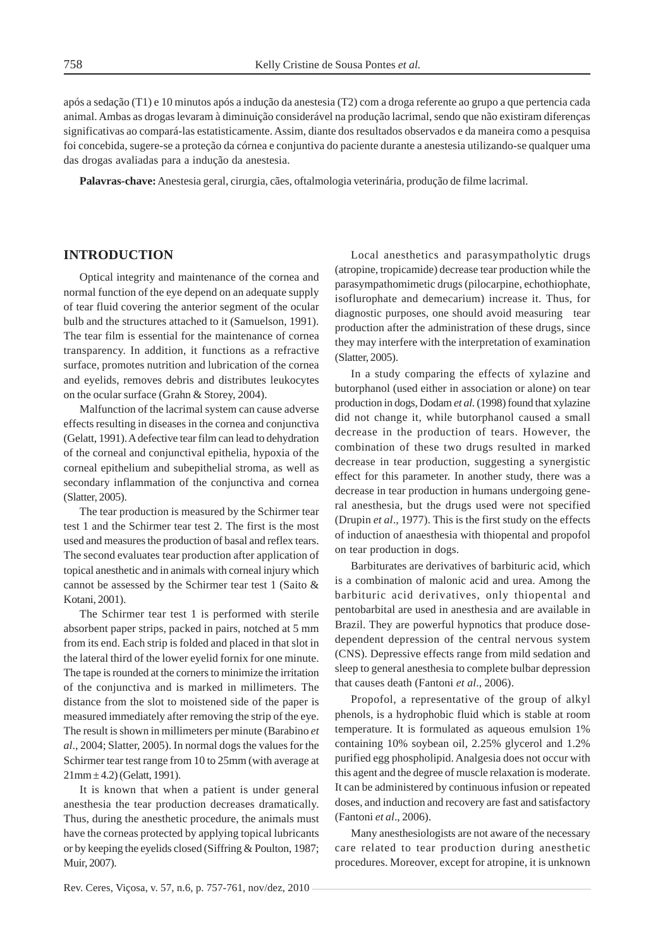após a sedação (T1) e 10 minutos após a indução da anestesia (T2) com a droga referente ao grupo a que pertencia cada animal. Ambas as drogas levaram à diminuição considerável na produção lacrimal, sendo que não existiram diferenças significativas ao compará-las estatisticamente. Assim, diante dos resultados observados e da maneira como a pesquisa foi concebida, sugere-se a proteção da córnea e conjuntiva do paciente durante a anestesia utilizando-se qualquer uma das drogas avaliadas para a indução da anestesia.

**Palavras-chave:** Anestesia geral, cirurgia, cães, oftalmologia veterinária, produção de filme lacrimal.

# **INTRODUCTION**

Optical integrity and maintenance of the cornea and normal function of the eye depend on an adequate supply of tear fluid covering the anterior segment of the ocular bulb and the structures attached to it (Samuelson, 1991). The tear film is essential for the maintenance of cornea transparency. In addition, it functions as a refractive surface, promotes nutrition and lubrication of the cornea and eyelids, removes debris and distributes leukocytes on the ocular surface (Grahn & Storey, 2004).

Malfunction of the lacrimal system can cause adverse effects resulting in diseases in the cornea and conjunctiva (Gelatt, 1991).A defective tear film can lead to dehydration of the corneal and conjunctival epithelia, hypoxia of the corneal epithelium and subepithelial stroma, as well as secondary inflammation of the conjunctiva and cornea (Slatter, 2005).

The tear production is measured by the Schirmer tear test 1 and the Schirmer tear test 2. The first is the most used and measures the production of basal and reflex tears. The second evaluates tear production after application of topical anesthetic and in animals with corneal injury which cannot be assessed by the Schirmer tear test 1 (Saito & Kotani, 2001).

The Schirmer tear test 1 is performed with sterile absorbent paper strips, packed in pairs, notched at 5 mm from its end. Each strip is folded and placed in that slot in the lateral third of the lower eyelid fornix for one minute. The tape is rounded at the corners to minimize the irritation of the conjunctiva and is marked in millimeters. The distance from the slot to moistened side of the paper is measured immediately after removing the strip of the eye. The result is shown in millimeters per minute (Barabino *et al*., 2004; Slatter, 2005). In normal dogs the values for the Schirmer tear test range from 10 to 25mm (with average at  $21mm \pm 4.2$ ) (Gelatt, 1991).

It is known that when a patient is under general anesthesia the tear production decreases dramatically. Thus, during the anesthetic procedure, the animals must have the corneas protected by applying topical lubricants or by keeping the eyelids closed (Siffring & Poulton, 1987; Muir, 2007).

Local anesthetics and parasympatholytic drugs (atropine, tropicamide) decrease tear production while the parasympathomimetic drugs (pilocarpine, echothiophate, isoflurophate and demecarium) increase it. Thus, for diagnostic purposes, one should avoid measuring tear production after the administration of these drugs, since they may interfere with the interpretation of examination (Slatter, 2005).

In a study comparing the effects of xylazine and butorphanol (used either in association or alone) on tear production in dogs, Dodam *et al.* (1998) found that xylazine did not change it, while butorphanol caused a small decrease in the production of tears. However, the combination of these two drugs resulted in marked decrease in tear production, suggesting a synergistic effect for this parameter. In another study, there was a decrease in tear production in humans undergoing general anesthesia, but the drugs used were not specified (Drupin *et al*., 1977). This is the first study on the effects of induction of anaesthesia with thiopental and propofol on tear production in dogs.

Barbiturates are derivatives of barbituric acid, which is a combination of malonic acid and urea. Among the barbituric acid derivatives, only thiopental and pentobarbital are used in anesthesia and are available in Brazil. They are powerful hypnotics that produce dosedependent depression of the central nervous system (CNS). Depressive effects range from mild sedation and sleep to general anesthesia to complete bulbar depression that causes death (Fantoni *et al*., 2006).

Propofol, a representative of the group of alkyl phenols, is a hydrophobic fluid which is stable at room temperature. It is formulated as aqueous emulsion 1% containing 10% soybean oil, 2.25% glycerol and 1.2% purified egg phospholipid. Analgesia does not occur with this agent and the degree of muscle relaxation is moderate. It can be administered by continuous infusion or repeated doses, and induction and recovery are fast and satisfactory (Fantoni *et al*., 2006).

Many anesthesiologists are not aware of the necessary care related to tear production during anesthetic procedures. Moreover, except for atropine, it is unknown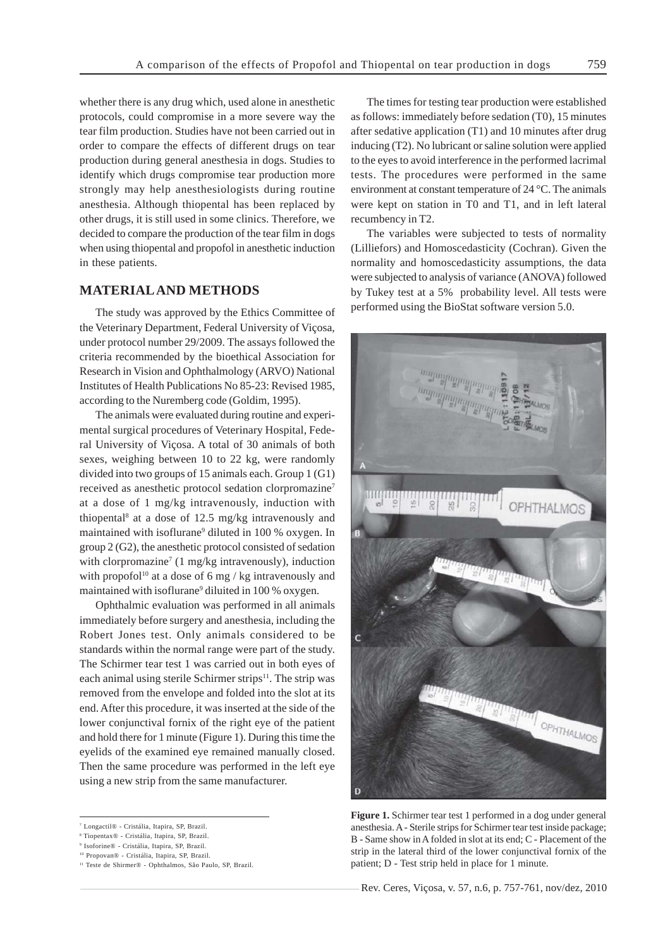whether there is any drug which, used alone in anesthetic protocols, could compromise in a more severe way the tear film production. Studies have not been carried out in order to compare the effects of different drugs on tear production during general anesthesia in dogs. Studies to identify which drugs compromise tear production more strongly may help anesthesiologists during routine anesthesia. Although thiopental has been replaced by other drugs, it is still used in some clinics. Therefore, we decided to compare the production of the tear film in dogs when using thiopental and propofol in anesthetic induction in these patients.

# **MATERIAL AND METHODS**

The study was approved by the Ethics Committee of the Veterinary Department, Federal University of Viçosa, under protocol number 29/2009. The assays followed the criteria recommended by the bioethical Association for Research in Vision and Ophthalmology (ARVO) National Institutes of Health Publications No 85-23: Revised 1985, according to the Nuremberg code (Goldim, 1995).

The animals were evaluated during routine and experimental surgical procedures of Veterinary Hospital, Federal University of Viçosa. A total of 30 animals of both sexes, weighing between 10 to 22 kg, were randomly divided into two groups of 15 animals each. Group 1 (G1) received as anesthetic protocol sedation clorpromazine7 at a dose of 1 mg/kg intravenously, induction with thiopental8 at a dose of 12.5 mg/kg intravenously and maintained with isoflurane<sup>9</sup> diluted in 100 % oxygen. In group 2 (G2), the anesthetic protocol consisted of sedation with clorpromazine<sup>7</sup> (1 mg/kg intravenously), induction with propofol<sup>10</sup> at a dose of 6 mg / kg intravenously and maintained with isoflurane<sup>9</sup> diluited in 100 % oxygen.

Ophthalmic evaluation was performed in all animals immediately before surgery and anesthesia, including the Robert Jones test. Only animals considered to be standards within the normal range were part of the study. The Schirmer tear test 1 was carried out in both eyes of each animal using sterile Schirmer strips $11$ . The strip was removed from the envelope and folded into the slot at its end. After this procedure, it was inserted at the side of the lower conjunctival fornix of the right eye of the patient and hold there for 1 minute (Figure 1). During this time the eyelids of the examined eye remained manually closed. Then the same procedure was performed in the left eye using a new strip from the same manufacturer.

The times for testing tear production were established as follows: immediately before sedation (T0), 15 minutes after sedative application (T1) and 10 minutes after drug inducing (T2). No lubricant or saline solution were applied to the eyes to avoid interference in the performed lacrimal tests. The procedures were performed in the same environment at constant temperature of 24 °C. The animals were kept on station in T0 and T1, and in left lateral recumbency in T2.

The variables were subjected to tests of normality (Lilliefors) and Homoscedasticity (Cochran). Given the normality and homoscedasticity assumptions, the data were subjected to analysis of variance (ANOVA) followed by Tukey test at a 5% probability level. All tests were performed using the BioStat software version 5.0.



**Figure 1.** Schirmer tear test 1 performed in a dog under general anesthesia. A - Sterile strips for Schirmer tear test inside package; B - Same show in A folded in slot at its end; C - Placement of the strip in the lateral third of the lower conjunctival fornix of the patient; D - Test strip held in place for 1 minute.

Rev. Ceres, Viçosa, v. 57, n.6, p. 757-761, nov/dez, 2010

<sup>7</sup> Longactil® - Cristália, Itapira, SP, Brazil.

<sup>8</sup> Tiopentax® - Cristália, Itapira, SP, Brazil.

<sup>9</sup> Isoforine® - Cristália, Itapira, SP, Brazil. 10 Propovan® - Cristália, Itapira, SP, Brazil.

<sup>11</sup> Teste de Shirmer® - Ophthalmos, São Paulo, SP, Brazil.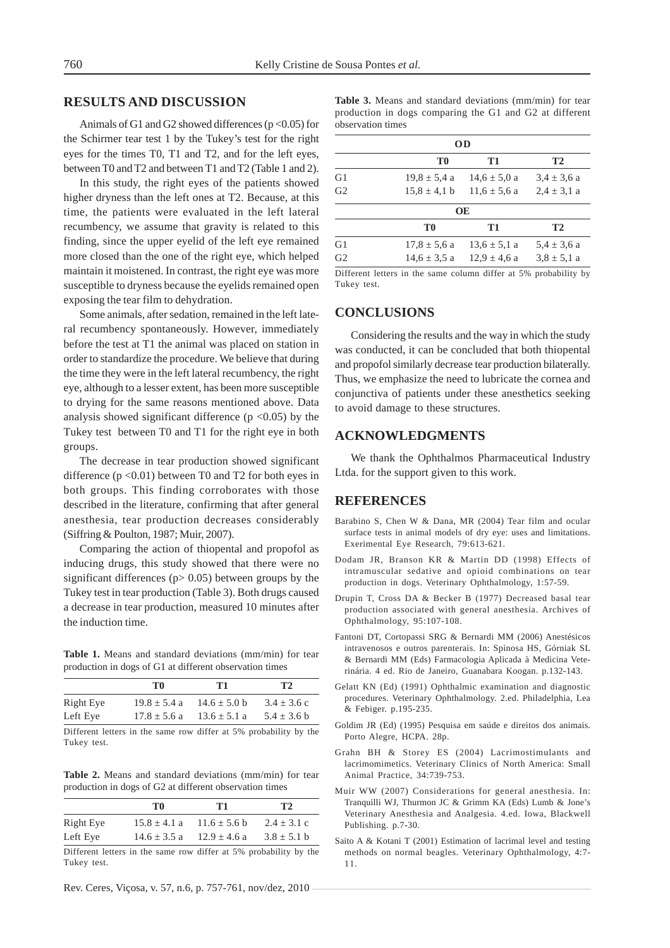## **RESULTS AND DISCUSSION**

Animals of G1 and G2 showed differences ( $p < 0.05$ ) for the Schirmer tear test 1 by the Tukey's test for the right eyes for the times T0, T1 and T2, and for the left eyes, between T0 and T2 and between T1 and T2 (Table 1 and 2).

In this study, the right eyes of the patients showed higher dryness than the left ones at T2. Because, at this time, the patients were evaluated in the left lateral recumbency, we assume that gravity is related to this finding, since the upper eyelid of the left eye remained more closed than the one of the right eye, which helped maintain it moistened. In contrast, the right eye was more susceptible to dryness because the eyelids remained open exposing the tear film to dehydration.

Some animals, after sedation, remained in the left lateral recumbency spontaneously. However, immediately before the test at T1 the animal was placed on station in order to standardize the procedure. We believe that during the time they were in the left lateral recumbency, the right eye, although to a lesser extent, has been more susceptible to drying for the same reasons mentioned above. Data analysis showed significant difference ( $p \le 0.05$ ) by the Tukey test between T0 and T1 for the right eye in both groups.

The decrease in tear production showed significant difference  $(p < 0.01)$  between T0 and T2 for both eyes in both groups. This finding corroborates with those described in the literature, confirming that after general anesthesia, tear production decreases considerably (Siffring & Poulton, 1987; Muir, 2007).

Comparing the action of thiopental and propofol as inducing drugs, this study showed that there were no significant differences ( $p$  > 0.05) between groups by the Tukey test in tear production (Table 3). Both drugs caused a decrease in tear production, measured 10 minutes after the induction time.

**Table 1.** Means and standard deviations (mm/min) for tear production in dogs of G1 at different observation times

|           | TО                                                                 | T1               | T <sub>2</sub>  |
|-----------|--------------------------------------------------------------------|------------------|-----------------|
| Right Eye | $19.8 \pm 5.4 a$                                                   | $14.6 \pm 5.0$ b | $3.4 \pm 3.6$ c |
| Left Eye  | $17.8 + 5.6 a$                                                     | $13.6 \pm 5.1$ a | $5.4 \pm 3.6$ b |
|           | Different latters in the came now differ of 50 muchelsility by the |                  |                 |

Different letters in the same row differ at 5% probability by the Tukey test.

**Table 2.** Means and standard deviations (mm/min) for tear production in dogs of G2 at different observation times

|           | ТO               | T1               | T <sub>2</sub>  |
|-----------|------------------|------------------|-----------------|
| Right Eye | $15.8 + 4.1 a$   | $11.6 + 5.6 b$   | $2.4 + 3.1$ c   |
| Left Eye  | $14.6 \pm 3.5 a$ | $12.9 \pm 4.6$ a | $3.8 \pm 5.1$ b |

Different letters in the same row differ at 5% probability by the Tukey test.

Rev. Ceres, Viçosa, v. 57, n.6, p. 757-761, nov/dez, 2010

**Table 3.** Means and standard deviations (mm/min) for tear production in dogs comparing the G1 and G2 at different observation times

| OD             |                  |                  |                 |  |
|----------------|------------------|------------------|-----------------|--|
|                | T0               | T1               | <b>T2</b>       |  |
| G <sub>1</sub> | $19.8 \pm 5.4$ a | $14.6 \pm 5.0 a$ | $3.4 \pm 3.6 a$ |  |
| G <sub>2</sub> | $15.8 \pm 4.1$ b | $11.6 \pm 5.6 a$ | $2.4 \pm 3.1 a$ |  |
|                |                  | <b>OE</b>        |                 |  |
|                | T <sub>0</sub>   | T1               | T2              |  |
| G1             | $17.8 \pm 5.6$ a | $13.6 \pm 5.1 a$ | $5.4 \pm 3.6 a$ |  |
| G <sub>2</sub> | $14.6 \pm 3.5 a$ | $12.9 \pm 4.6$ a | $3.8 \pm 5.1$ a |  |
|                |                  |                  |                 |  |

Different letters in the same column differ at 5% probability by Tukey test.

## **CONCLUSIONS**

Considering the results and the way in which the study was conducted, it can be concluded that both thiopental and propofol similarly decrease tear production bilaterally. Thus, we emphasize the need to lubricate the cornea and conjunctiva of patients under these anesthetics seeking to avoid damage to these structures.

#### **ACKNOWLEDGMENTS**

We thank the Ophthalmos Pharmaceutical Industry Ltda. for the support given to this work.

# **REFERENCES**

- Barabino S, Chen W & Dana, MR (2004) Tear film and ocular surface tests in animal models of dry eye: uses and limitations. Exerimental Eye Research, 79:613-621.
- Dodam JR, Branson KR & Martin DD (1998) Effects of intramuscular sedative and opioid combinations on tear production in dogs. Veterinary Ophthalmology, 1:57-59.
- Drupin T, Cross DA & Becker B (1977) Decreased basal tear production associated with general anesthesia. Archives of Ophthalmology, 95:107-108.
- Fantoni DT, Cortopassi SRG & Bernardi MM (2006) Anestésicos intravenosos e outros parenterais. In: Spinosa HS, Górniak SL & Bernardi MM (Eds) Farmacologia Aplicada à Medicina Veterinária. 4 ed. Rio de Janeiro, Guanabara Koogan. p.132-143.
- Gelatt KN (Ed) (1991) Ophthalmic examination and diagnostic procedures. Veterinary Ophthalmology. 2.ed. Philadelphia, Lea & Febiger. p.195-235.
- Goldim JR (Ed) (1995) Pesquisa em saúde e direitos dos animais. Porto Alegre, HCPA. 28p.
- Grahn BH & Storey ES (2004) Lacrimostimulants and lacrimomimetics. Veterinary Clinics of North America: Small Animal Practice, 34:739-753.
- Muir WW (2007) Considerations for general anesthesia. In: Tranquilli WJ, Thurmon JC & Grimm KA (Eds) Lumb & Jone's Veterinary Anesthesia and Analgesia. 4.ed. Iowa, Blackwell Publishing. p.7-30.
- Saito A & Kotani T (2001) Estimation of lacrimal level and testing methods on normal beagles. Veterinary Ophthalmology, 4:7- 11.